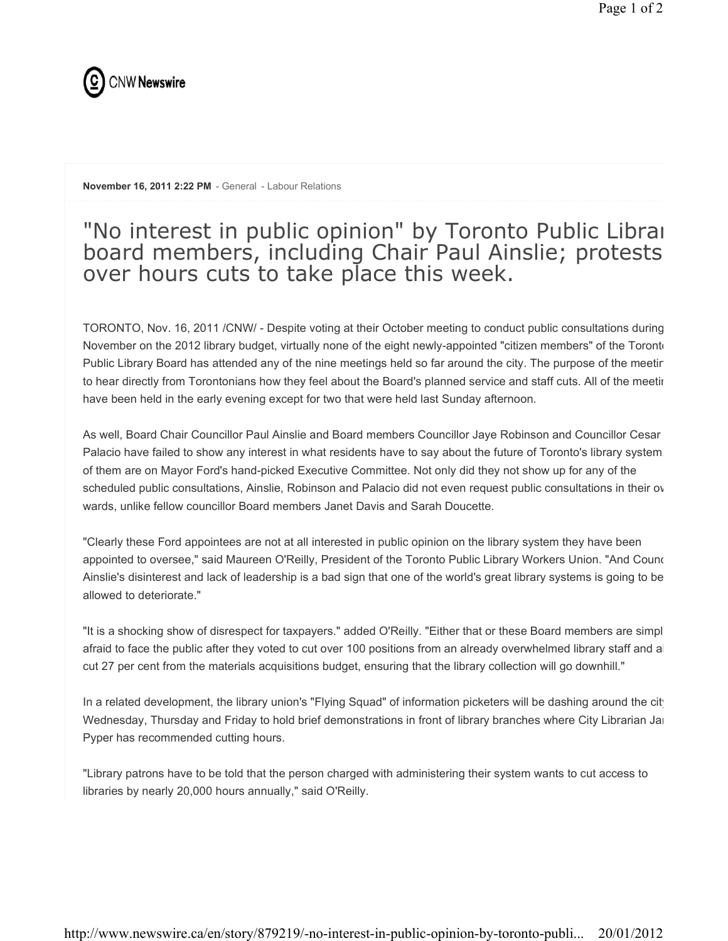

November 16, 2011 2:22 PM - General - Labour Relations

## "No interest in public opinion" by Toronto Public Librai board members, including Chair Paul Ainslie; protests over hours cuts to take place this week.

TORONTO, Nov. 16, 2011 /CNW/ - Despite voting at their October meeting to conduct public consultations during November on the 2012 library budget, virtually none of the eight newly-appointed "citizen members" of the Toronto Public Library Board has attended any of the nine meetings held so far around the city. The purpose of the meeting to hear directly from Torontonians how they feel about the Board's planned service and staff cuts. All of the meeting have been held in the early evening except for two that were held last Sunday afternoon.

As well, Board Chair Councillor Paul Ainslie and Board members Councillor Jaye Robinson and Councillor Cesar Palacio have failed to show any interest in what residents have to say about the future of Toronto's library system. of them are on Mayor Ford's hand-picked Executive Committee. Not only did they not show up for any of the scheduled public consultations, Ainslie, Robinson and Palacio did not even request public consultations in their ov wards, unlike fellow councillor Board members Janet Davis and Sarah Doucette.

"Clearly these Ford appointees are not at all interested in public opinion on the library system they have been appointed to oversee," said Maureen O'Reilly, President of the Toronto Public Library Workers Union. "And Counc Ainslie's disinterest and lack of leadership is a bad sign that one of the world's great library systems is going to be allowed to deteriorate."

"It is a shocking show of disrespect for taxpayers." added O'Reilly. "Either that or these Board members are simpl afraid to face the public after they voted to cut over 100 positions from an already overwhelmed library staff and a cut 27 per cent from the materials acquisitions budget, ensuring that the library collection will go downhill."

In a related development, the library union's "Flying Squad" of information picketers will be dashing around the city Wednesday, Thursday and Friday to hold brief demonstrations in front of library branches where City Librarian Jan Pyper has recommended cutting hours.

"Library patrons have to be told that the person charged with administering their system wants to cut access to libraries by nearly 20,000 hours annually," said O'Reilly.